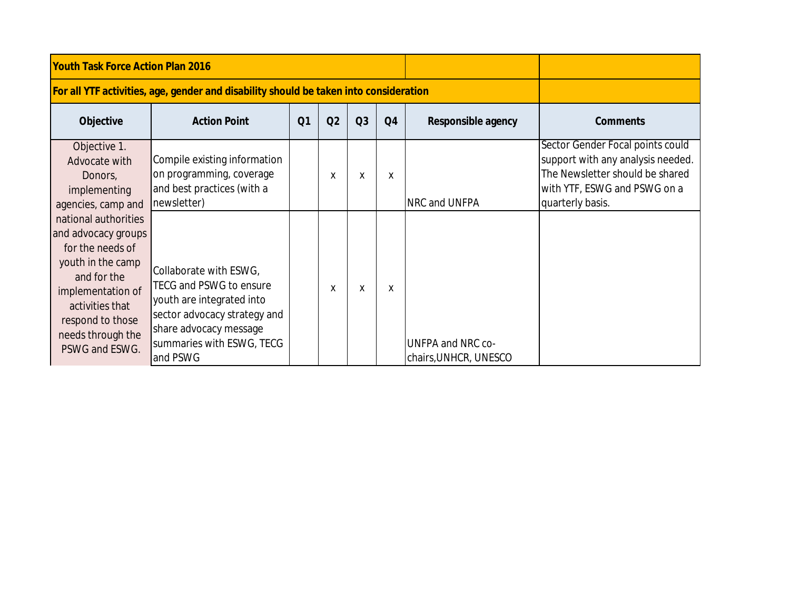| <b>Youth Task Force Action Plan 2016</b>                                                                                                                                                               |                                                                                                                                                                                   |                |    |                |                |                                                   |                                                                                                                                                              |
|--------------------------------------------------------------------------------------------------------------------------------------------------------------------------------------------------------|-----------------------------------------------------------------------------------------------------------------------------------------------------------------------------------|----------------|----|----------------|----------------|---------------------------------------------------|--------------------------------------------------------------------------------------------------------------------------------------------------------------|
|                                                                                                                                                                                                        | For all YTF activities, age, gender and disability should be taken into consideration                                                                                             |                |    |                |                |                                                   |                                                                                                                                                              |
| <b>Objective</b>                                                                                                                                                                                       | <b>Action Point</b>                                                                                                                                                               | Q <sub>1</sub> | Q2 | Q <sub>3</sub> | Q <sub>4</sub> | Responsible agency                                | <b>Comments</b>                                                                                                                                              |
| Objective 1.<br>Advocate with<br>Donors,<br>implementing<br>agencies, camp and                                                                                                                         | Compile existing information<br>on programming, coverage<br>and best practices (with a<br>newsletter)                                                                             |                | x  | x              | X              | NRC and UNFPA                                     | Sector Gender Focal points could<br>support with any analysis needed.<br>The Newsletter should be shared<br>with YTF, ESWG and PSWG on a<br>quarterly basis. |
| national authorities<br>and advocacy groups<br>for the needs of<br>youth in the camp<br>and for the<br>implementation of<br>activities that<br>respond to those<br>needs through the<br>PSWG and ESWG. | Collaborate with ESWG,<br>TECG and PSWG to ensure<br>youth are integrated into<br>sector advocacy strategy and<br>share advocacy message<br>summaries with ESWG, TECG<br>and PSWG |                | x  | x              | X              | <b>UNFPA and NRC co-</b><br>chairs, UNHCR, UNESCO |                                                                                                                                                              |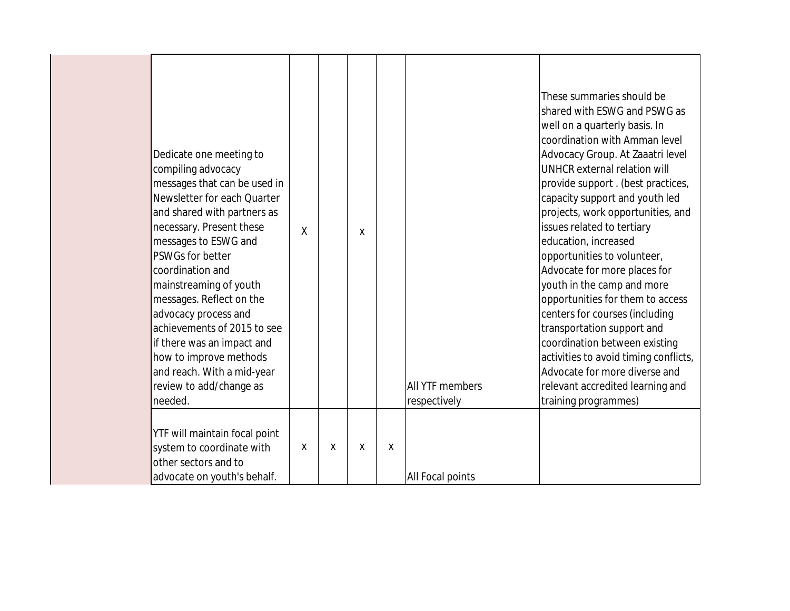| Dedicate one meeting to<br>compiling advocacy<br>messages that can be used in<br>Newsletter for each Quarter<br>and shared with partners as<br>necessary. Present these<br>messages to ESWG and<br>PSWGs for better<br>coordination and<br>mainstreaming of youth<br>messages. Reflect on the<br>advocacy process and<br>achievements of 2015 to see<br>if there was an impact and<br>how to improve methods<br>and reach. With a mid-year<br>review to add/change as<br>needed. | X |   | X |   | All YTF members<br>respectively | These summaries should be<br>shared with ESWG and PSWG as<br>well on a quarterly basis. In<br>coordination with Amman level<br>Advocacy Group. At Zaaatri level<br>UNHCR external relation will<br>provide support. (best practices,<br>capacity support and youth led<br>projects, work opportunities, and<br>issues related to tertiary<br>education, increased<br>opportunities to volunteer,<br>Advocate for more places for<br>youth in the camp and more<br>opportunities for them to access<br>centers for courses (including<br>transportation support and<br>coordination between existing<br>activities to avoid timing conflicts,<br>Advocate for more diverse and<br>relevant accredited learning and<br>training programmes) |
|----------------------------------------------------------------------------------------------------------------------------------------------------------------------------------------------------------------------------------------------------------------------------------------------------------------------------------------------------------------------------------------------------------------------------------------------------------------------------------|---|---|---|---|---------------------------------|-------------------------------------------------------------------------------------------------------------------------------------------------------------------------------------------------------------------------------------------------------------------------------------------------------------------------------------------------------------------------------------------------------------------------------------------------------------------------------------------------------------------------------------------------------------------------------------------------------------------------------------------------------------------------------------------------------------------------------------------|
| YTF will maintain focal point<br>system to coordinate with<br>other sectors and to<br>advocate on youth's behalf.                                                                                                                                                                                                                                                                                                                                                                | X | x | X | X | All Focal points                |                                                                                                                                                                                                                                                                                                                                                                                                                                                                                                                                                                                                                                                                                                                                           |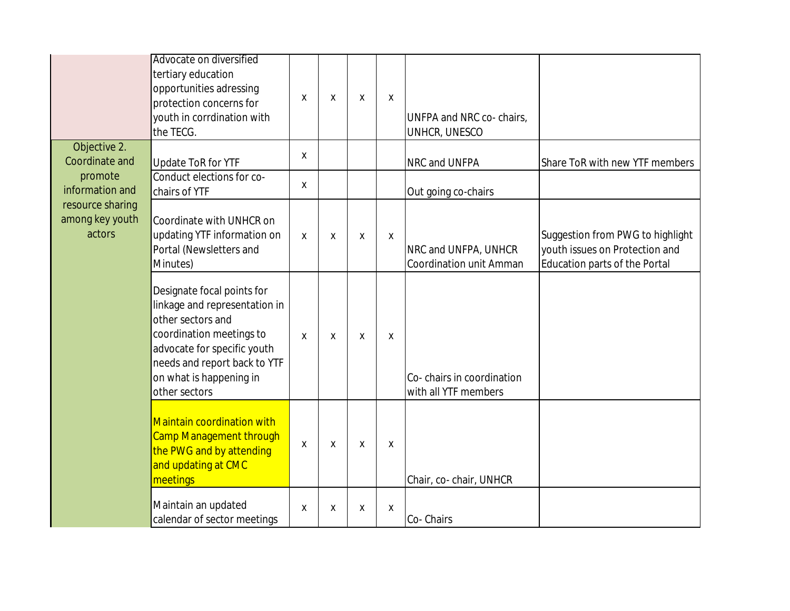|                                               | Advocate on diversified<br>tertiary education<br>opportunities adressing<br>protection concerns for<br>youth in corrdination with<br>the TECG.                                                                          | Χ | χ | X | $\mathsf{X}$ | UNFPA and NRC co- chairs,<br>UNHCR, UNESCO             |                                                                                                     |
|-----------------------------------------------|-------------------------------------------------------------------------------------------------------------------------------------------------------------------------------------------------------------------------|---|---|---|--------------|--------------------------------------------------------|-----------------------------------------------------------------------------------------------------|
| Objective 2.<br>Coordinate and                | <b>Update ToR for YTF</b>                                                                                                                                                                                               | X |   |   |              | NRC and UNFPA                                          | Share ToR with new YTF members                                                                      |
| promote<br>information and                    | Conduct elections for co-<br>chairs of YTF                                                                                                                                                                              | X |   |   |              | Out going co-chairs                                    |                                                                                                     |
| resource sharing<br>among key youth<br>actors | Coordinate with UNHCR on<br>updating YTF information on<br>Portal (Newsletters and<br>Minutes)                                                                                                                          | X | X | X | X            | NRC and UNFPA, UNHCR<br><b>Coordination unit Amman</b> | Suggestion from PWG to highlight<br>youth issues on Protection and<br>Education parts of the Portal |
|                                               | Designate focal points for<br>linkage and representation in<br>other sectors and<br>coordination meetings to<br>advocate for specific youth<br>needs and report back to YTF<br>on what is happening in<br>other sectors | X | X | X | X            | Co-chairs in coordination<br>with all YTF members      |                                                                                                     |
|                                               | <b>Maintain coordination with</b><br><b>Camp Management through</b><br>the PWG and by attending<br>and updating at CMC<br>meetings                                                                                      | X | X | X | X            | Chair, co-chair, UNHCR                                 |                                                                                                     |
|                                               | Maintain an updated<br>calendar of sector meetings                                                                                                                                                                      | X | X | X | X            | Co-Chairs                                              |                                                                                                     |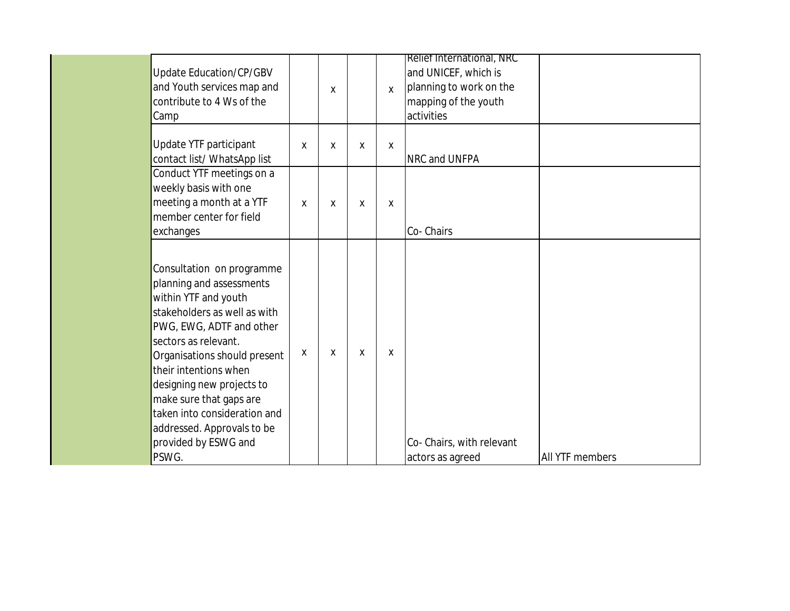| <b>Update Education/CP/GBV</b><br>and Youth services map and<br>contribute to 4 Ws of the<br>Camp                                                                                                                                                                                                                                                                                 |   | X |   | X | <b>Relief International, NRC</b><br>and UNICEF, which is<br>planning to work on the<br>mapping of the youth<br>activities |                        |
|-----------------------------------------------------------------------------------------------------------------------------------------------------------------------------------------------------------------------------------------------------------------------------------------------------------------------------------------------------------------------------------|---|---|---|---|---------------------------------------------------------------------------------------------------------------------------|------------------------|
| Update YTF participant<br>contact list/ WhatsApp list                                                                                                                                                                                                                                                                                                                             | X | X | X | X | NRC and UNFPA                                                                                                             |                        |
| Conduct YTF meetings on a<br>weekly basis with one<br>meeting a month at a YTF<br>member center for field<br>exchanges                                                                                                                                                                                                                                                            | X | X | X | X | Co-Chairs                                                                                                                 |                        |
| Consultation on programme<br>planning and assessments<br>within YTF and youth<br>stakeholders as well as with<br>PWG, EWG, ADTF and other<br>sectors as relevant.<br>Organisations should present<br>their intentions when<br>designing new projects to<br>make sure that gaps are<br>taken into consideration and<br>addressed. Approvals to be<br>provided by ESWG and<br>PSWG. | х | X | X | x | Co- Chairs, with relevant<br>actors as agreed                                                                             | <b>All YTF members</b> |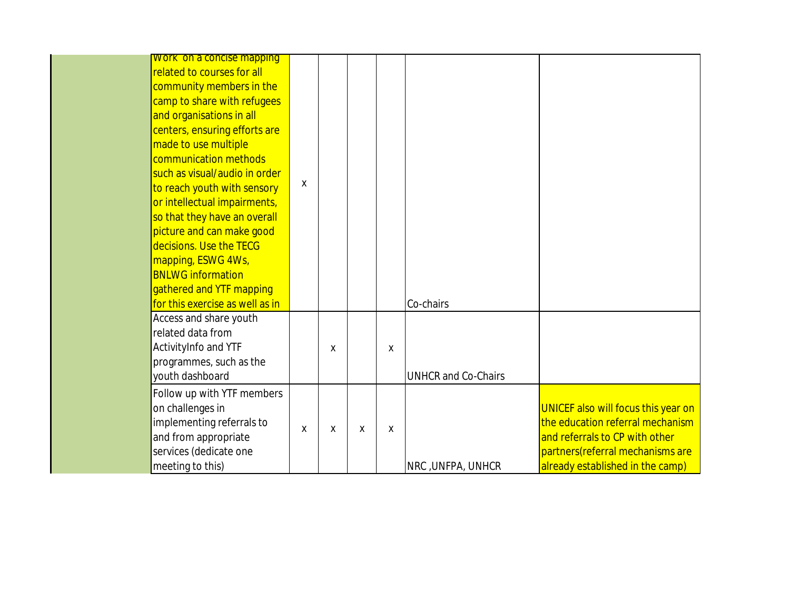| <b>Work on a concise mapping</b><br>related to courses for all |   |   |   |   |                            |                                            |
|----------------------------------------------------------------|---|---|---|---|----------------------------|--------------------------------------------|
| community members in the                                       |   |   |   |   |                            |                                            |
| camp to share with refugees                                    |   |   |   |   |                            |                                            |
| and organisations in all                                       |   |   |   |   |                            |                                            |
| centers, ensuring efforts are                                  |   |   |   |   |                            |                                            |
| made to use multiple                                           |   |   |   |   |                            |                                            |
| communication methods                                          |   |   |   |   |                            |                                            |
| such as visual/audio in order                                  |   |   |   |   |                            |                                            |
| to reach youth with sensory                                    | X |   |   |   |                            |                                            |
| or intellectual impairments,                                   |   |   |   |   |                            |                                            |
| so that they have an overall                                   |   |   |   |   |                            |                                            |
| picture and can make good                                      |   |   |   |   |                            |                                            |
| decisions. Use the TECG                                        |   |   |   |   |                            |                                            |
| mapping, ESWG 4Ws,                                             |   |   |   |   |                            |                                            |
| <b>BNLWG</b> information                                       |   |   |   |   |                            |                                            |
| gathered and YTF mapping                                       |   |   |   |   |                            |                                            |
| for this exercise as well as in                                |   |   |   |   | Co-chairs                  |                                            |
| Access and share youth                                         |   |   |   |   |                            |                                            |
| related data from                                              |   |   |   |   |                            |                                            |
| ActivityInfo and YTF                                           |   | X |   | X |                            |                                            |
| programmes, such as the                                        |   |   |   |   |                            |                                            |
| youth dashboard                                                |   |   |   |   | <b>UNHCR and Co-Chairs</b> |                                            |
| Follow up with YTF members                                     |   |   |   |   |                            |                                            |
| on challenges in                                               |   |   |   |   |                            | <b>UNICEF also will focus this year on</b> |
| implementing referrals to                                      | X | X | X | X |                            | the education referral mechanism           |
| and from appropriate                                           |   |   |   |   |                            | and referrals to CP with other             |
| services (dedicate one                                         |   |   |   |   |                            | partners(referral mechanisms are           |
| meeting to this)                                               |   |   |   |   | NRC, UNFPA, UNHCR          | already established in the camp)           |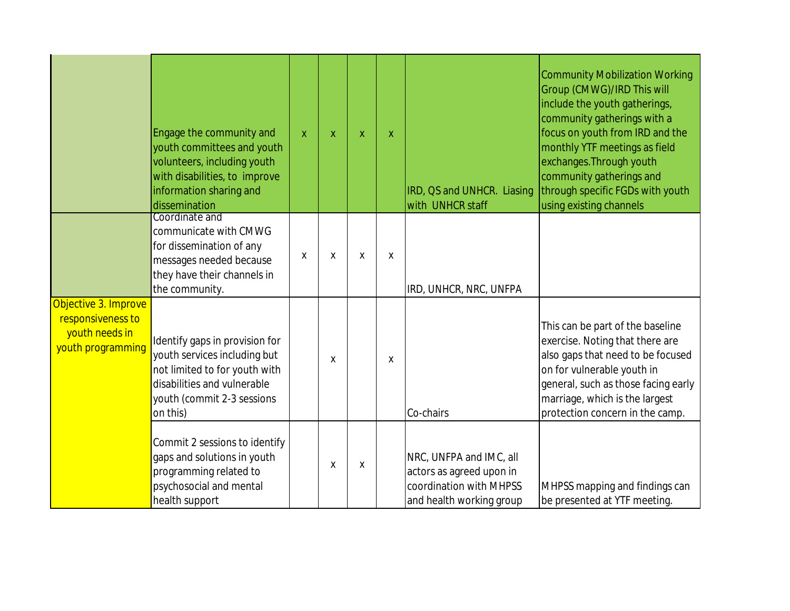|                                                                                  | Engage the community and<br>youth committees and youth<br>volunteers, including youth<br>with disabilities, to improve<br>information sharing and<br>dissemination       | $\pmb{\mathsf{X}}$ | $\mathsf{X}$ | $\boldsymbol{X}$ | $\mathsf{X}$ | IRD, QS and UNHCR. Liasing<br>with UNHCR staff                                                             | <b>Community Mobilization Working</b><br>Group (CMWG)/IRD This will<br>include the youth gatherings,<br>community gatherings with a<br>focus on youth from IRD and the<br>monthly YTF meetings as field<br>exchanges. Through youth<br>community gatherings and<br>through specific FGDs with youth<br>using existing channels |
|----------------------------------------------------------------------------------|--------------------------------------------------------------------------------------------------------------------------------------------------------------------------|--------------------|--------------|------------------|--------------|------------------------------------------------------------------------------------------------------------|--------------------------------------------------------------------------------------------------------------------------------------------------------------------------------------------------------------------------------------------------------------------------------------------------------------------------------|
|                                                                                  | Coordinate and<br>communicate with CMWG<br>for dissemination of any<br>messages needed because<br>they have their channels in<br>the community.                          | X                  | X            | X                | X            | IRD, UNHCR, NRC, UNFPA                                                                                     |                                                                                                                                                                                                                                                                                                                                |
| Objective 3. Improve<br>responsiveness to<br>youth needs in<br>youth programming | Identify gaps in provision for<br>youth services including but<br>not limited to for youth with<br>disabilities and vulnerable<br>youth (commit 2-3 sessions<br>on this) |                    | X            |                  | X            | Co-chairs                                                                                                  | This can be part of the baseline<br>exercise. Noting that there are<br>also gaps that need to be focused<br>on for vulnerable youth in<br>general, such as those facing early<br>marriage, which is the largest<br>protection concern in the camp.                                                                             |
|                                                                                  | Commit 2 sessions to identify<br>gaps and solutions in youth<br>programming related to<br>psychosocial and mental<br>health support                                      |                    | χ            | X                |              | NRC, UNFPA and IMC, all<br>actors as agreed upon in<br>coordination with MHPSS<br>and health working group | MHPSS mapping and findings can<br>be presented at YTF meeting.                                                                                                                                                                                                                                                                 |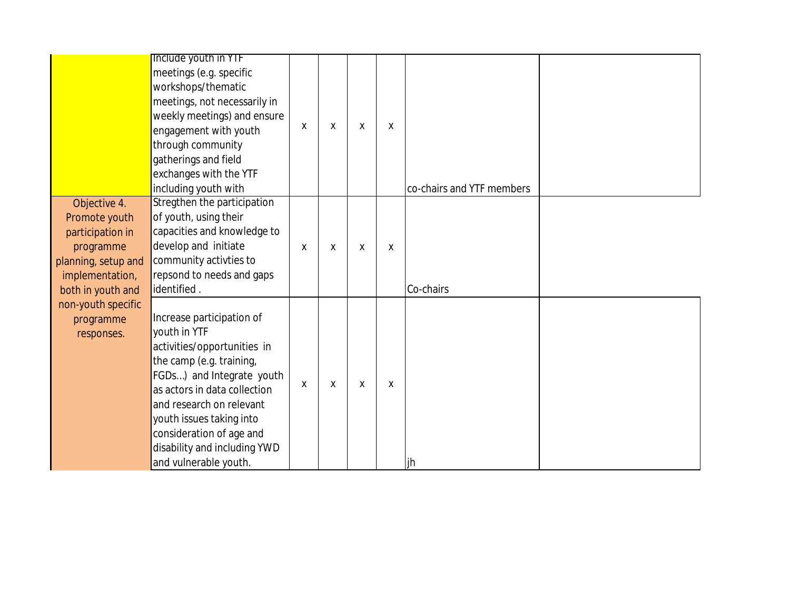| Include youth in YIF                            |   |   |   |   |                           |  |
|-------------------------------------------------|---|---|---|---|---------------------------|--|
|                                                 |   |   |   |   |                           |  |
| meetings (e.g. specific                         |   |   |   |   |                           |  |
| workshops/thematic                              |   |   |   |   |                           |  |
| meetings, not necessarily in                    |   |   |   |   |                           |  |
| weekly meetings) and ensure                     | X | X | X | X |                           |  |
| engagement with youth                           |   |   |   |   |                           |  |
| through community                               |   |   |   |   |                           |  |
| gatherings and field                            |   |   |   |   |                           |  |
| exchanges with the YTF                          |   |   |   |   |                           |  |
| including youth with                            |   |   |   |   | co-chairs and YTF members |  |
| Stregthen the participation<br>Objective 4.     |   |   |   |   |                           |  |
| of youth, using their<br>Promote youth          |   |   |   |   |                           |  |
| capacities and knowledge to<br>participation in |   |   |   |   |                           |  |
| develop and initiate<br>programme               | X | X | X | X |                           |  |
| community activties to<br>planning, setup and   |   |   |   |   |                           |  |
| repsond to needs and gaps<br>implementation,    |   |   |   |   |                           |  |
| identified.<br>both in youth and                |   |   |   |   | Co-chairs                 |  |
| non-youth specific                              |   |   |   |   |                           |  |
| Increase participation of<br>programme          |   |   |   |   |                           |  |
| youth in YTF<br>responses.                      |   |   |   |   |                           |  |
| activities/opportunities in                     |   |   |   |   |                           |  |
| the camp (e.g. training,                        |   |   |   |   |                           |  |
| FGDs) and Integrate youth                       |   |   |   |   |                           |  |
| as actors in data collection                    | X | X | X | X |                           |  |
| and research on relevant                        |   |   |   |   |                           |  |
| youth issues taking into                        |   |   |   |   |                           |  |
| consideration of age and                        |   |   |   |   |                           |  |
|                                                 |   |   |   |   |                           |  |
| disability and including YWD                    |   |   |   |   |                           |  |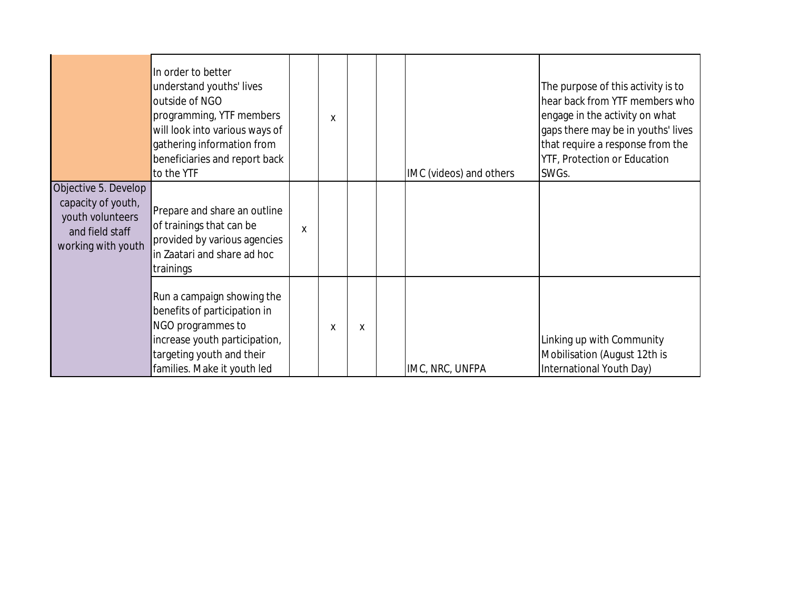|                                                                                                         | In order to better<br>understand youths' lives<br>outside of NGO<br>programming, YTF members<br>will look into various ways of<br>gathering information from<br>beneficiaries and report back<br>to the YTF |   | x |   | IMC (videos) and others | The purpose of this activity is to<br>hear back from YTF members who<br>engage in the activity on what<br>gaps there may be in youths' lives<br>that require a response from the<br>YTF, Protection or Education<br>SWGs. |
|---------------------------------------------------------------------------------------------------------|-------------------------------------------------------------------------------------------------------------------------------------------------------------------------------------------------------------|---|---|---|-------------------------|---------------------------------------------------------------------------------------------------------------------------------------------------------------------------------------------------------------------------|
| Objective 5. Develop<br>capacity of youth,<br>youth volunteers<br>and field staff<br>working with youth | Prepare and share an outline<br>of trainings that can be<br>provided by various agencies<br>in Zaatari and share ad hoc<br>trainings                                                                        | X |   |   |                         |                                                                                                                                                                                                                           |
|                                                                                                         | Run a campaign showing the<br>benefits of participation in<br>NGO programmes to<br>increase youth participation,<br>targeting youth and their<br>families. Make it youth led                                |   | X | X | IMC, NRC, UNFPA         | Linking up with Community<br>Mobilisation (August 12th is<br>International Youth Day)                                                                                                                                     |